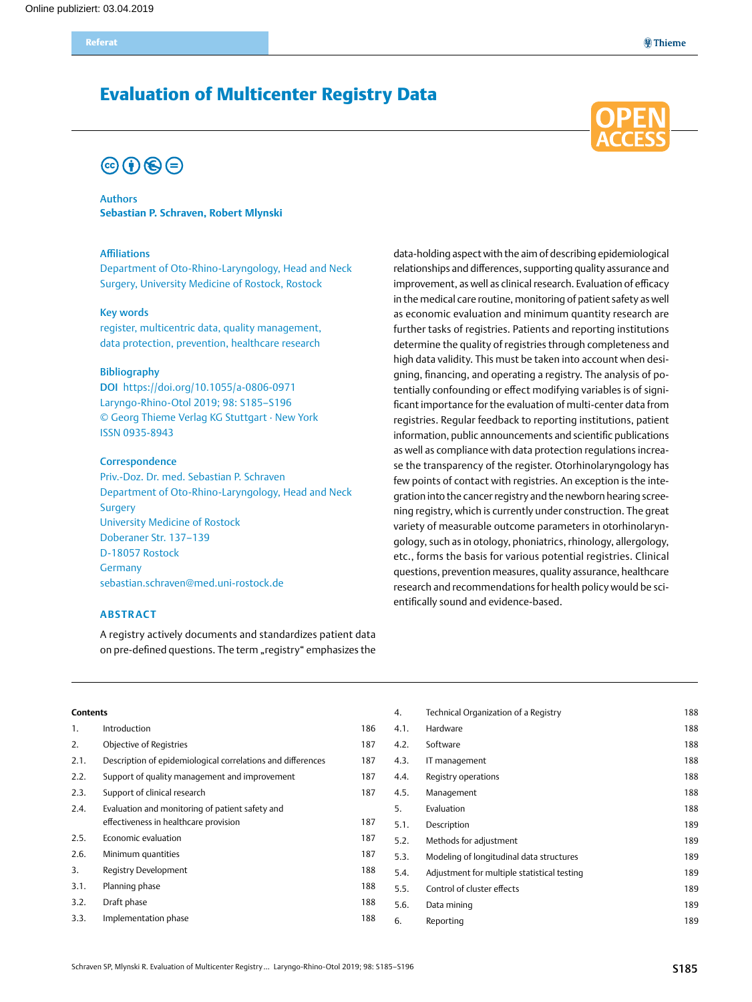# Evaluation of Multicenter Registry Data

# $\odot$   $\odot$   $\odot$

#### Authors **Sebastian P. Schraven, Robert Mlynski**

#### Affiliations

Department of Oto-Rhino-Laryngology, Head and Neck Surgery, University Medicine of Rostock, Rostock

#### Key words

register, multicentric data, quality management, data protection, prevention, healthcare research

#### Bibliography

DOI https://doi.org/10.1055/a-0806-0971 Laryngo-Rhino-Otol 2019; 98: S185–S196 © Georg Thieme Verlag KG Stuttgart · New York ISSN 0935-8943

#### **Correspondence**

Priv.-Doz. Dr. med. Sebastian P. Schraven Department of Oto-Rhino-Laryngology, Head and Neck Surgery University Medicine of Rostock Doberaner Str. 137–139 D-18057 Rostock Germany [sebastian.schraven@med.uni-rostock.de](mailto:sebastian.schraven@med.uni-rostock.de)

#### **Abstract**

A registry actively documents and standardizes patient data on pre-defined questions. The term "registry" emphasizes the data-holding aspect with the aim of describing epidemiological relationships and differences, supporting quality assurance and improvement, as well as clinical research. Evaluation of efficacy in the medical care routine, monitoring of patient safety as well as economic evaluation and minimum quantity research are further tasks of registries. Patients and reporting institutions determine the quality of registries through completeness and high data validity. This must be taken into account when designing, financing, and operating a registry. The analysis of potentially confounding or effect modifying variables is of significant importance for the evaluation of multi-center data from registries. Regular feedback to reporting institutions, patient information, public announcements and scientific publications as well as compliance with data protection regulations increase the transparency of the register. Otorhinolaryngology has few points of contact with registries. An exception is the integration into the cancer registry and the newborn hearing screening registry, which is currently under construction. The great variety of measurable outcome parameters in otorhinolaryngology, such as in otology, phoniatrics, rhinology, allergology, etc., forms the basis for various potential registries. Clinical questions, prevention measures, quality assurance, healthcare research and recommendations for health policy would be scientifically sound and evidence-based.

4. Technical Organization of a Registry **188** 

#### **Contents**

| $\mathbf{1}$ . | Introduction                                                | 186 | 4.1. | Hardware                                    | 188 |
|----------------|-------------------------------------------------------------|-----|------|---------------------------------------------|-----|
| 2.             | Objective of Registries                                     | 187 | 4.2. | Software                                    | 188 |
| 2.1.           | Description of epidemiological correlations and differences | 187 | 4.3. | IT management                               | 188 |
| 2.2.           | Support of quality management and improvement               | 187 | 4.4. | Registry operations                         | 188 |
| 2.3.           | Support of clinical research                                | 187 | 4.5. | Management                                  | 188 |
| 2.4.           | Evaluation and monitoring of patient safety and             |     | 5.   | Evaluation                                  | 188 |
|                | effectiveness in healthcare provision                       | 187 | 5.1. | Description                                 | 189 |
| 2.5.           | Economic evaluation                                         | 187 | 5.2. | Methods for adjustment                      | 189 |
| 2.6.           | Minimum quantities                                          | 187 | 5.3. | Modeling of longitudinal data structures    | 189 |
| 3.             | Registry Development                                        | 188 | 5.4. | Adjustment for multiple statistical testing | 189 |
| 3.1.           | Planning phase                                              | 188 | 5.5. | Control of cluster effects                  | 189 |
| 3.2.           | Draft phase                                                 | 188 | 5.6. | Data mining                                 | 189 |
| 3.3.           | Implementation phase                                        | 188 | 6.   | Reporting                                   | 189 |
|                |                                                             |     |      |                                             |     |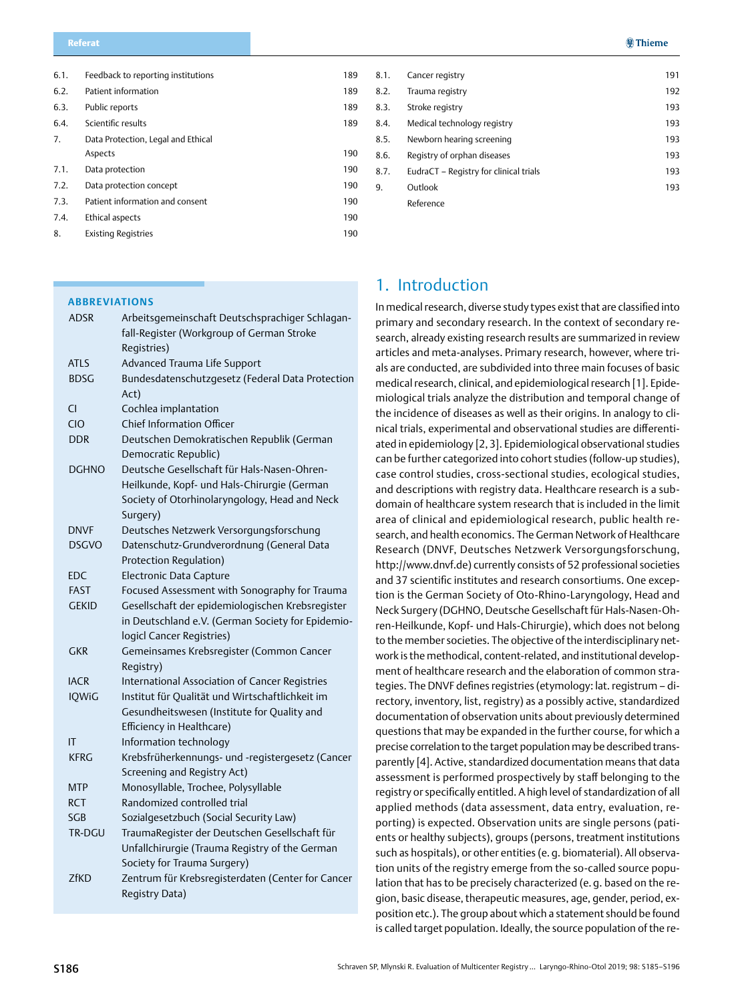<span id="page-1-0"></span>

| 6.1. | Feedback to reporting institutions | 189 |
|------|------------------------------------|-----|
| 6.2. | Patient information                | 189 |
| 6.3. | Public reports                     | 189 |
| 6.4. | Scientific results                 | 189 |
| 7.   | Data Protection, Legal and Ethical |     |
|      | Aspects                            | 190 |
| 7.1. | Data protection                    | 190 |
| 7.2. | Data protection concept            | 190 |
| 7.3. | Patient information and consent    | 190 |
| 7.4. | Ethical aspects                    | 190 |
| 8.   | <b>Existing Registries</b>         | 190 |

#### **Abbreviations**

| <b>ADSR</b>  | Arbeitsgemeinschaft Deutschsprachiger Schlagan-<br>fall-Register (Workgroup of German Stroke<br>Registries) |
|--------------|-------------------------------------------------------------------------------------------------------------|
| <b>ATLS</b>  | Advanced Trauma Life Support                                                                                |
| <b>BDSG</b>  | Bundesdatenschutzgesetz (Federal Data Protection<br>Act)                                                    |
| CI           | Cochlea implantation                                                                                        |
| CIO          | <b>Chief Information Officer</b>                                                                            |
| <b>DDR</b>   | Deutschen Demokratischen Republik (German                                                                   |
|              | Democratic Republic)                                                                                        |
| <b>DGHNO</b> | Deutsche Gesellschaft für Hals-Nasen-Ohren-                                                                 |
|              | Heilkunde, Kopf- und Hals-Chirurgie (German                                                                 |
|              | Society of Otorhinolaryngology, Head and Neck                                                               |
|              | Surgery)                                                                                                    |
| <b>DNVF</b>  | Deutsches Netzwerk Versorgungsforschung                                                                     |
| <b>DSGVO</b> | Datenschutz-Grundverordnung (General Data                                                                   |
|              | Protection Regulation)                                                                                      |
| EDC          | Electronic Data Capture                                                                                     |
| <b>FAST</b>  | Focused Assessment with Sonography for Trauma                                                               |
| <b>GEKID</b> | Gesellschaft der epidemiologischen Krebsregister                                                            |
|              | in Deutschland e.V. (German Society for Epidemio-                                                           |
|              | logicl Cancer Registries)                                                                                   |
| <b>GKR</b>   | Gemeinsames Krebsregister (Common Cancer                                                                    |
|              | Registry)                                                                                                   |
| <b>IACR</b>  | International Association of Cancer Registries                                                              |
| <b>IQWiG</b> | Institut für Qualität und Wirtschaftlichkeit im                                                             |
|              | Gesundheitswesen (Institute for Quality and                                                                 |
|              | Efficiency in Healthcare)                                                                                   |
| ΙT           | Information technology                                                                                      |
| <b>KFRG</b>  | Krebsfrüherkennungs- und -registergesetz (Cancer                                                            |
| <b>MTP</b>   | Screening and Registry Act)<br>Monosyllable, Trochee, Polysyllable                                          |
| RCT          | Randomized controlled trial                                                                                 |
| SGB          | Sozialgesetzbuch (Social Security Law)                                                                      |
| TR-DGU       | TraumaRegister der Deutschen Gesellschaft für                                                               |
|              | Unfallchirurgie (Trauma Registry of the German                                                              |
|              | Society for Trauma Surgery)                                                                                 |
| <b>ZfKD</b>  | Zentrum für Krebsregisterdaten (Center for Cancer                                                           |
|              | Registry Data)                                                                                              |
|              |                                                                                                             |

| 8.1. | Cancer registry                        | 191 |
|------|----------------------------------------|-----|
| 8.2. | Trauma registry                        | 192 |
| 8.3. | Stroke registry                        | 193 |
| 8.4. | Medical technology registry            | 193 |
| 8.5. | Newborn hearing screening              | 193 |
| 8.6. | Registry of orphan diseases            | 193 |
| 8.7. | EudraCT - Registry for clinical trials | 193 |
| 9.   | Outlook                                | 193 |
|      | Reference                              |     |

# 1. Introduction

In medical research, diverse study types exist that are classified into primary and secondary research. In the context of secondary research, already existing research results are summarized in review articles and meta-analyses. Primary research, however, where trials are conducted, are subdivided into three main focuses of basic medical research, clinical, and epidemiological research [1]. Epidemiological trials analyze the distribution and temporal change of the incidence of diseases as well as their origins. In analogy to clinical trials, experimental and observational studies are differentiated in epidemiology [2, 3]. Epidemiological observational studies can be further categorized into cohort studies (follow-up studies), case control studies, cross-sectional studies, ecological studies, and descriptions with registry data. Healthcare research is a subdomain of healthcare system research that is included in the limit area of clinical and epidemiological research, public health research, and health economics. The German Network of Healthcare Research (DNVF, Deutsches Netzwerk Versorgungsforschung, http://www.dnvf.de) currently consists of 52 professional societies and 37 scientific institutes and research consortiums. One exception is the German Society of Oto-Rhino-Laryngology, Head and Neck Surgery (DGHNO, Deutsche Gesellschaft für Hals-Nasen-Ohren-Heilkunde, Kopf- und Hals-Chirurgie), which does not belong to the member societies. The objective of the interdisciplinary network is the methodical, content-related, and institutional development of healthcare research and the elaboration of common strategies. The DNVF defines registries (etymology: lat. registrum – directory, inventory, list, registry) as a possibly active, standardized documentation of observation units about previously determined questions that may be expanded in the further course, for which a precise correlation to the target population may be described transparently [4]. Active, standardized documentation means that data assessment is performed prospectively by staff belonging to the registry or specifically entitled. A high level of standardization of all applied methods (data assessment, data entry, evaluation, reporting) is expected. Observation units are single persons (patients or healthy subjects), groups (persons, treatment institutions such as hospitals), or other entities (e. g. biomaterial). All observation units of the registry emerge from the so-called source population that has to be precisely characterized (e. g. based on the region, basic disease, therapeutic measures, age, gender, period, exposition etc.). The group about which a statement should be found is called target population. Ideally, the source population of the re-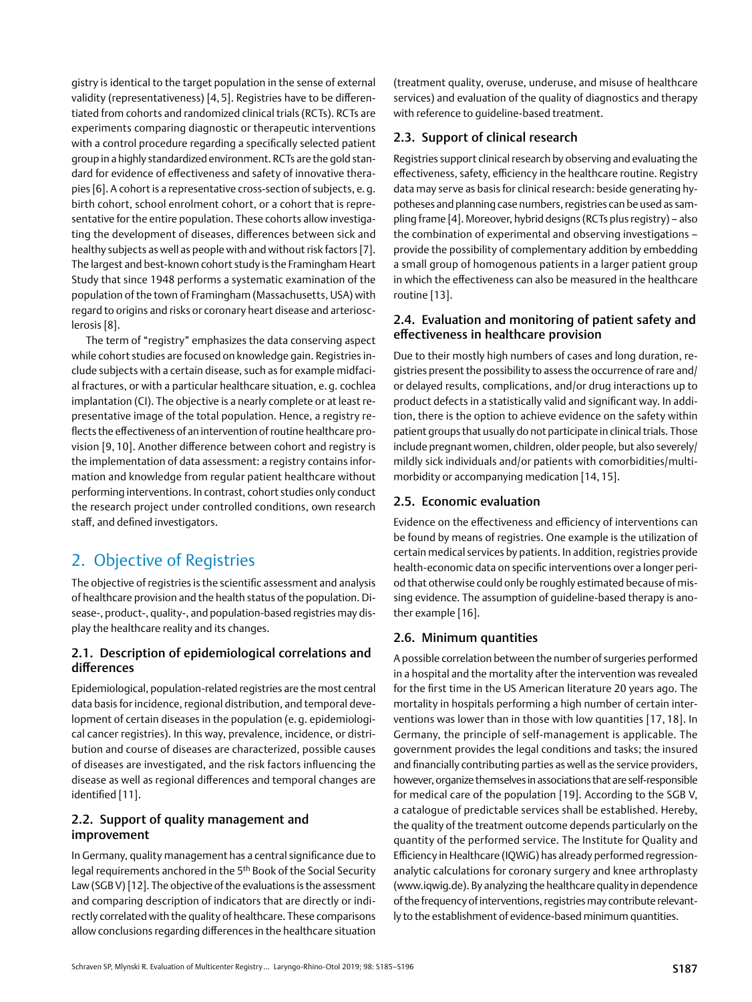<span id="page-2-0"></span>gistry is identical to the target population in the sense of external validity (representativeness) [4, 5]. Registries have to be differentiated from cohorts and randomized clinical trials (RCTs). RCTs are experiments comparing diagnostic or therapeutic interventions with a control procedure regarding a specifically selected patient group in a highly standardized environment. RCTs are the gold standard for evidence of effectiveness and safety of innovative therapies [6]. A cohort is a representative cross-section of subjects, e. g. birth cohort, school enrolment cohort, or a cohort that is representative for the entire population. These cohorts allow investigating the development of diseases, differences between sick and healthy subjects as well as people with and without risk factors [7]. The largest and best-known cohort study is the Framingham Heart Study that since 1948 performs a systematic examination of the population of the town of Framingham (Massachusetts, USA) with regard to origins and risks or coronary heart disease and arteriosclerosis [8].

The term of "registry" emphasizes the data conserving aspect while cohort studies are focused on knowledge gain. Registries include subjects with a certain disease, such as for example midfacial fractures, or with a particular healthcare situation, e. g. cochlea implantation (CI). The objective is a nearly complete or at least representative image of the total population. Hence, a registry reflects the effectiveness of an intervention of routine healthcare provision [9, 10]. Another difference between cohort and registry is the implementation of data assessment: a registry contains information and knowledge from regular patient healthcare without performing interventions. In contrast, cohort studies only conduct the research project under controlled conditions, own research staff, and defined investigators.

# 2. Objective of Registries

The objective of registries is the scientific assessment and analysis of healthcare provision and the health status of the population. Disease-, product-, quality-, and population-based registries may display the healthcare reality and its changes.

### 2.1. Description of epidemiological correlations and differences

Epidemiological, population-related registries are the most central data basis for incidence, regional distribution, and temporal development of certain diseases in the population (e. g. epidemiological cancer registries). In this way, prevalence, incidence, or distribution and course of diseases are characterized, possible causes of diseases are investigated, and the risk factors influencing the disease as well as regional differences and temporal changes are identified [11].

### 2.2. Support of quality management and improvement

In Germany, quality management has a central significance due to legal requirements anchored in the 5th Book of the Social Security Law (SGB V) [12]. The objective of the evaluations is the assessment and comparing description of indicators that are directly or indirectly correlated with the quality of healthcare. These comparisons allow conclusions regarding differences in the healthcare situation (treatment quality, overuse, underuse, and misuse of healthcare services) and evaluation of the quality of diagnostics and therapy with reference to guideline-based treatment.

### 2.3. Support of clinical research

Registries support clinical research by observing and evaluating the effectiveness, safety, efficiency in the healthcare routine. Registry data may serve as basis for clinical research: beside generating hypotheses and planning case numbers, registries can be used as sampling frame [4]. Moreover, hybrid designs (RCTs plus registry) – also the combination of experimental and observing investigations – provide the possibility of complementary addition by embedding a small group of homogenous patients in a larger patient group in which the effectiveness can also be measured in the healthcare routine [13].

### 2.4. Evaluation and monitoring of patient safety and effectiveness in healthcare provision

Due to their mostly high numbers of cases and long duration, registries present the possibility to assess the occurrence of rare and/ or delayed results, complications, and/or drug interactions up to product defects in a statistically valid and significant way. In addition, there is the option to achieve evidence on the safety within patient groups that usually do not participate in clinical trials. Those include pregnant women, children, older people, but also severely/ mildly sick individuals and/or patients with comorbidities/multimorbidity or accompanying medication [14, 15].

#### 2.5. Economic evaluation

Evidence on the effectiveness and efficiency of interventions can be found by means of registries. One example is the utilization of certain medical services by patients. In addition, registries provide health-economic data on specific interventions over a longer period that otherwise could only be roughly estimated because of missing evidence. The assumption of guideline-based therapy is another example [16].

### 2.6. Minimum quantities

A possible correlation between the number of surgeries performed in a hospital and the mortality after the intervention was revealed for the first time in the US American literature 20 years ago. The mortality in hospitals performing a high number of certain interventions was lower than in those with low quantities [17, 18]. In Germany, the principle of self-management is applicable. The government provides the legal conditions and tasks; the insured and financially contributing parties as well as the service providers, however, organize themselves in associations that are self-responsible for medical care of the population [19]. According to the SGB V, a catalogue of predictable services shall be established. Hereby, the quality of the treatment outcome depends particularly on the quantity of the performed service. The Institute for Quality and Efficiency in Healthcare (IQWiG) has already performed regressionanalytic calculations for coronary surgery and knee arthroplasty (www.iqwig.de). By analyzing the healthcare quality in dependence of the frequency of interventions, registries may contribute relevantly to the establishment of evidence-based minimum quantities.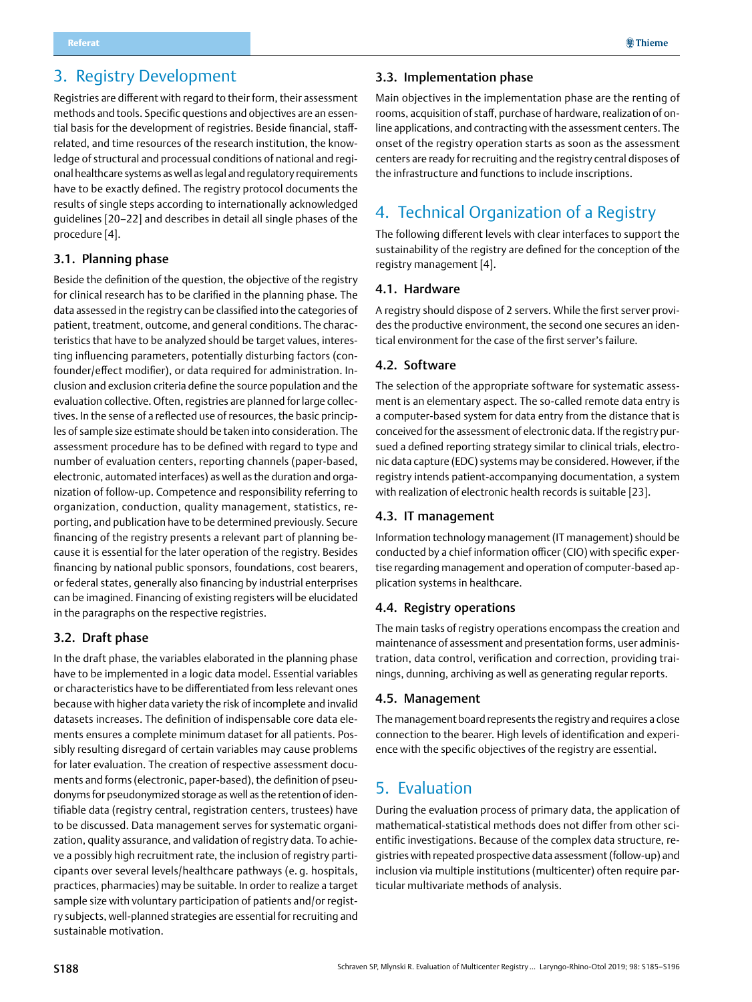# <span id="page-3-0"></span>3. Registry Development

Registries are different with regard to their form, their assessment methods and tools. Specific questions and objectives are an essential basis for the development of registries. Beside financial, staffrelated, and time resources of the research institution, the knowledge of structural and processual conditions of national and regional healthcare systems as well as legal and regulatory requirements have to be exactly defined. The registry protocol documents the results of single steps according to internationally acknowledged guidelines [20–22] and describes in detail all single phases of the procedure [4].

#### 3.1. Planning phase

Beside the definition of the question, the objective of the registry for clinical research has to be clarified in the planning phase. The data assessed in the registry can be classified into the categories of patient, treatment, outcome, and general conditions. The characteristics that have to be analyzed should be target values, interesting influencing parameters, potentially disturbing factors (confounder/effect modifier), or data required for administration. Inclusion and exclusion criteria define the source population and the evaluation collective. Often, registries are planned for large collectives. In the sense of a reflected use of resources, the basic principles of sample size estimate should be taken into consideration. The assessment procedure has to be defined with regard to type and number of evaluation centers, reporting channels (paper-based, electronic, automated interfaces) as well as the duration and organization of follow-up. Competence and responsibility referring to organization, conduction, quality management, statistics, reporting, and publication have to be determined previously. Secure financing of the registry presents a relevant part of planning because it is essential for the later operation of the registry. Besides financing by national public sponsors, foundations, cost bearers, or federal states, generally also financing by industrial enterprises can be imagined. Financing of existing registers will be elucidated in the paragraphs on the respective registries.

### 3.2. Draft phase

In the draft phase, the variables elaborated in the planning phase have to be implemented in a logic data model. Essential variables or characteristics have to be differentiated from less relevant ones because with higher data variety the risk of incomplete and invalid datasets increases. The definition of indispensable core data elements ensures a complete minimum dataset for all patients. Possibly resulting disregard of certain variables may cause problems for later evaluation. The creation of respective assessment documents and forms (electronic, paper-based), the definition of pseudonyms for pseudonymized storage as well as the retention of identifiable data (registry central, registration centers, trustees) have to be discussed. Data management serves for systematic organization, quality assurance, and validation of registry data. To achieve a possibly high recruitment rate, the inclusion of registry participants over several levels/healthcare pathways (e. g. hospitals, practices, pharmacies) may be suitable. In order to realize a target sample size with voluntary participation of patients and/or registry subjects, well-planned strategies are essential for recruiting and sustainable motivation.

#### 3.3. Implementation phase

Main objectives in the implementation phase are the renting of rooms, acquisition of staff, purchase of hardware, realization of online applications, and contracting with the assessment centers. The onset of the registry operation starts as soon as the assessment centers are ready for recruiting and the registry central disposes of the infrastructure and functions to include inscriptions.

# 4. Technical Organization of a Registry

The following different levels with clear interfaces to support the sustainability of the registry are defined for the conception of the registry management [4].

#### 4.1. Hardware

A registry should dispose of 2 servers. While the first server provides the productive environment, the second one secures an identical environment for the case of the first server's failure.

#### 4.2. Software

The selection of the appropriate software for systematic assessment is an elementary aspect. The so-called remote data entry is a computer-based system for data entry from the distance that is conceived for the assessment of electronic data. If the registry pursued a defined reporting strategy similar to clinical trials, electronic data capture (EDC) systems may be considered. However, if the registry intends patient-accompanying documentation, a system with realization of electronic health records is suitable [23].

### 4.3. IT management

Information technology management (IT management) should be conducted by a chief information officer (CIO) with specific expertise regarding management and operation of computer-based application systems in healthcare.

#### 4.4. Registry operations

The main tasks of registry operations encompass the creation and maintenance of assessment and presentation forms, user administration, data control, verification and correction, providing trainings, dunning, archiving as well as generating regular reports.

#### 4.5. Management

The management board represents the registry and requires a close connection to the bearer. High levels of identification and experience with the specific objectives of the registry are essential.

# 5. Evaluation

During the evaluation process of primary data, the application of mathematical-statistical methods does not differ from other scientific investigations. Because of the complex data structure, registries with repeated prospective data assessment (follow-up) and inclusion via multiple institutions (multicenter) often require particular multivariate methods of analysis.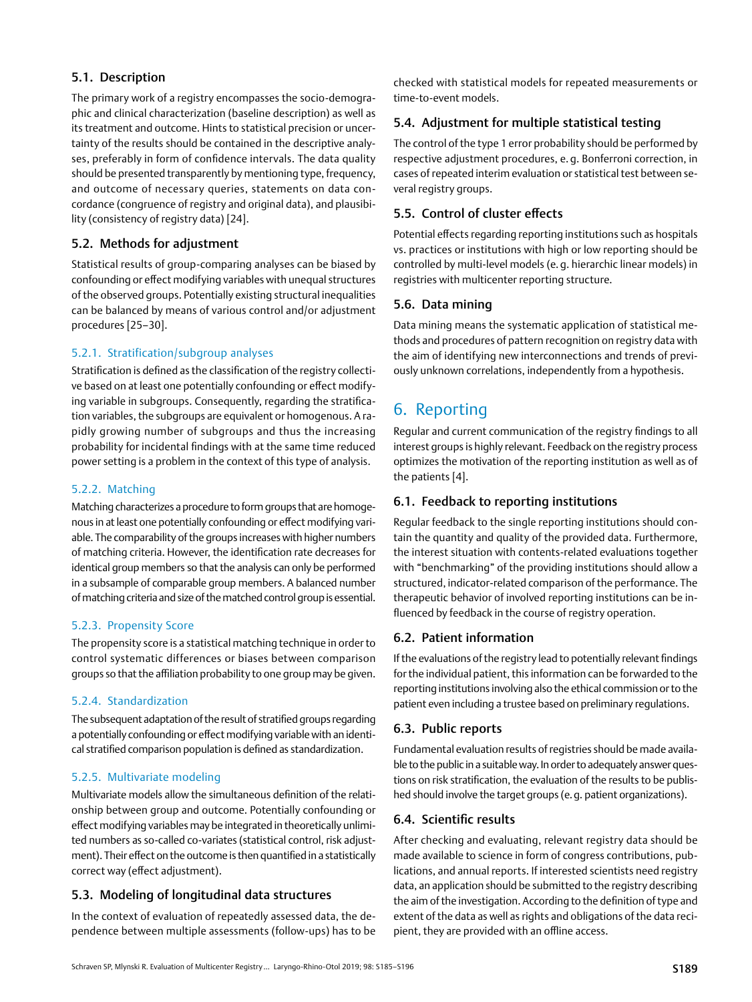#### <span id="page-4-0"></span>5.1. Description

The primary work of a registry encompasses the socio-demographic and clinical characterization (baseline description) as well as its treatment and outcome. Hints to statistical precision or uncertainty of the results should be contained in the descriptive analyses, preferably in form of confidence intervals. The data quality should be presented transparently by mentioning type, frequency, and outcome of necessary queries, statements on data concordance (congruence of registry and original data), and plausibility (consistency of registry data) [24].

#### 5.2. Methods for adjustment

Statistical results of group-comparing analyses can be biased by confounding or effect modifying variables with unequal structures of the observed groups. Potentially existing structural inequalities can be balanced by means of various control and/or adjustment procedures [25–30].

#### 5.2.1. Stratification/subgroup analyses

Stratification is defined as the classification of the registry collective based on at least one potentially confounding or effect modifying variable in subgroups. Consequently, regarding the stratification variables, the subgroups are equivalent or homogenous. A rapidly growing number of subgroups and thus the increasing probability for incidental findings with at the same time reduced power setting is a problem in the context of this type of analysis.

#### 5.2.2. Matching

Matching characterizes a procedure to form groups that are homogenous in at least one potentially confounding or effect modifying variable. The comparability of the groups increases with higher numbers of matching criteria. However, the identification rate decreases for identical group members so that the analysis can only be performed in a subsample of comparable group members. A balanced number of matching criteria and size of the matched control group is essential.

#### 5.2.3. Propensity Score

The propensity score is a statistical matching technique in order to control systematic differences or biases between comparison groups so that the affiliation probability to one group may be given.

#### 5.2.4. Standardization

The subsequent adaptation of the result of stratified groups regarding a potentially confounding or effect modifying variable with an identical stratified comparison population is defined as standardization.

#### 5.2.5. Multivariate modeling

Multivariate models allow the simultaneous definition of the relationship between group and outcome. Potentially confounding or effect modifying variables may be integrated in theoretically unlimited numbers as so-called co-variates (statistical control, risk adjustment). Their effect on the outcome is then quantified in a statistically correct way (effect adjustment).

### 5.3. Modeling of longitudinal data structures

In the context of evaluation of repeatedly assessed data, the dependence between multiple assessments (follow-ups) has to be checked with statistical models for repeated measurements or time-to-event models.

#### 5.4. Adjustment for multiple statistical testing

The control of the type 1 error probability should be performed by respective adjustment procedures, e. g. Bonferroni correction, in cases of repeated interim evaluation or statistical test between several registry groups.

### 5.5. Control of cluster effects

Potential effects regarding reporting institutions such as hospitals vs. practices or institutions with high or low reporting should be controlled by multi-level models (e. g. hierarchic linear models) in registries with multicenter reporting structure.

#### 5.6. Data mining

Data mining means the systematic application of statistical methods and procedures of pattern recognition on registry data with the aim of identifying new interconnections and trends of previously unknown correlations, independently from a hypothesis.

# 6. Reporting

Regular and current communication of the registry findings to all interest groups is highly relevant. Feedback on the registry process optimizes the motivation of the reporting institution as well as of the patients [4].

#### 6.1. Feedback to reporting institutions

Regular feedback to the single reporting institutions should contain the quantity and quality of the provided data. Furthermore, the interest situation with contents-related evaluations together with "benchmarking" of the providing institutions should allow a structured, indicator-related comparison of the performance. The therapeutic behavior of involved reporting institutions can be influenced by feedback in the course of registry operation.

### 6.2. Patient information

If the evaluations of the registry lead to potentially relevant findings for the individual patient, this information can be forwarded to the reporting institutions involving also the ethical commission or to the patient even including a trustee based on preliminary regulations.

### 6.3. Public reports

Fundamental evaluation results of registries should be made available to the public in a suitable way. In order to adequately answer questions on risk stratification, the evaluation of the results to be published should involve the target groups (e.g. patient organizations).

### 6.4. Scientific results

After checking and evaluating, relevant registry data should be made available to science in form of congress contributions, publications, and annual reports. If interested scientists need registry data, an application should be submitted to the registry describing the aim of the investigation. According to the definition of type and extent of the data as well as rights and obligations of the data recipient, they are provided with an offline access.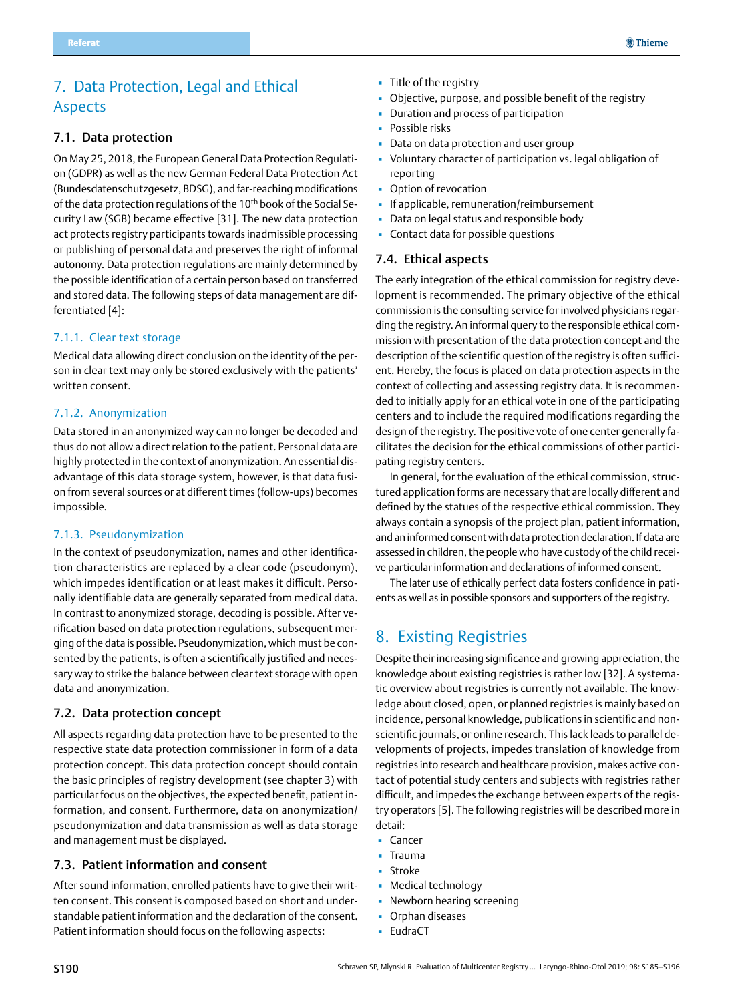# <span id="page-5-0"></span>7. Data Protection, Legal and Ethical Aspects

#### 7.1. Data protection

On May 25, 2018, the European General Data Protection Regulation (GDPR) as well as the new German Federal Data Protection Act (Bundesdatenschutzgesetz, BDSG), and far-reaching modifications of the data protection regulations of the 10<sup>th</sup> book of the Social Security Law (SGB) became effective [31]. The new data protection act protects registry participants towards inadmissible processing or publishing of personal data and preserves the right of informal autonomy. Data protection regulations are mainly determined by the possible identification of a certain person based on transferred and stored data. The following steps of data management are differentiated [4]:

#### 7.1.1. Clear text storage

Medical data allowing direct conclusion on the identity of the person in clear text may only be stored exclusively with the patients' written consent.

#### 7.1.2. Anonymization

Data stored in an anonymized way can no longer be decoded and thus do not allow a direct relation to the patient. Personal data are highly protected in the context of anonymization. An essential disadvantage of this data storage system, however, is that data fusion from several sources or at different times (follow-ups) becomes impossible.

#### 7.1.3. Pseudonymization

In the context of pseudonymization, names and other identification characteristics are replaced by a clear code (pseudonym), which impedes identification or at least makes it difficult. Personally identifiable data are generally separated from medical data. In contrast to anonymized storage, decoding is possible. After verification based on data protection regulations, subsequent merging of the data is possible. Pseudonymization, which must be consented by the patients, is often a scientifically justified and necessary way to strike the balance between clear text storage with open data and anonymization.

#### 7.2. Data protection concept

All aspects regarding data protection have to be presented to the respective state data protection commissioner in form of a data protection concept. This data protection concept should contain the basic principles of registry development (see chapter 3) with particular focus on the objectives, the expected benefit, patient information, and consent. Furthermore, data on anonymization/ pseudonymization and data transmission as well as data storage and management must be displayed.

#### 7.3. Patient information and consent

After sound information, enrolled patients have to give their written consent. This consent is composed based on short and understandable patient information and the declaration of the consent. Patient information should focus on the following aspects:

- Title of the registry
- Objective, purpose, and possible benefit of the registry
- **Duration and process of participation**
- Possible risks
- Data on data protection and user group
- Voluntary character of participation vs. legal obligation of reporting
- Option of revocation
- **·** If applicable, remuneration/reimbursement
- Data on legal status and responsible body
- Contact data for possible questions

#### 7.4. Ethical aspects

The early integration of the ethical commission for registry development is recommended. The primary objective of the ethical commission is the consulting service for involved physicians regarding the registry. An informal query to the responsible ethical commission with presentation of the data protection concept and the description of the scientific question of the registry is often sufficient. Hereby, the focus is placed on data protection aspects in the context of collecting and assessing registry data. It is recommended to initially apply for an ethical vote in one of the participating centers and to include the required modifications regarding the design of the registry. The positive vote of one center generally facilitates the decision for the ethical commissions of other participating registry centers.

In general, for the evaluation of the ethical commission, structured application forms are necessary that are locally different and defined by the statues of the respective ethical commission. They always contain a synopsis of the project plan, patient information, and an informed consent with data protection declaration. If data are assessed in children, the people who have custody of the child receive particular information and declarations of informed consent.

The later use of ethically perfect data fosters confidence in patients as well as in possible sponsors and supporters of the registry.

# 8. Existing Registries

Despite their increasing significance and growing appreciation, the knowledge about existing registries is rather low [32]. A systematic overview about registries is currently not available. The knowledge about closed, open, or planned registries is mainly based on incidence, personal knowledge, publications in scientific and nonscientific journals, or online research. This lack leads to parallel developments of projects, impedes translation of knowledge from registries into research and healthcare provision, makes active contact of potential study centers and subjects with registries rather difficult, and impedes the exchange between experts of the registry operators [5]. The following registries will be described more in detail:

- Cancer
- Trauma
- **•** Stroke
- **•** Medical technology
- Newborn hearing screening
- **Orphan diseases**
- EudraCT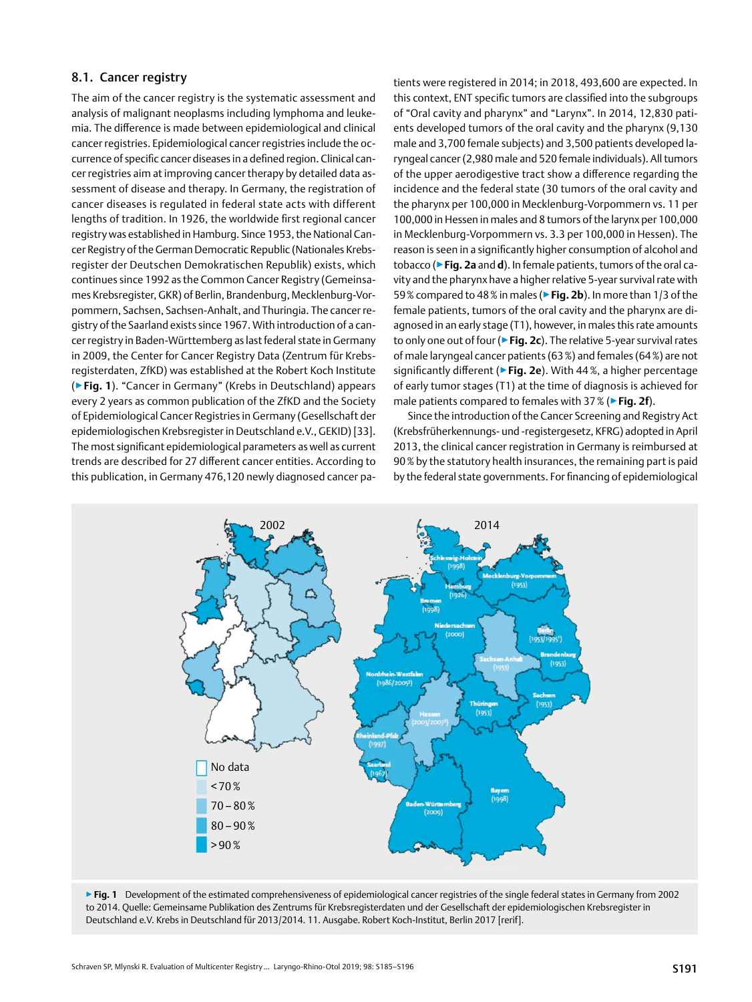#### <span id="page-6-0"></span>8.1. Cancer registry

The aim of the cancer registry is the systematic assessment and analysis of malignant neoplasms including lymphoma and leukemia. The difference is made between epidemiological and clinical cancer registries. Epidemiological cancer registries include the occurrence of specific cancer diseases in a defined region. Clinical cancer registries aim at improving cancer therapy by detailed data assessment of disease and therapy. In Germany, the registration of cancer diseases is regulated in federal state acts with different lengths of tradition. In 1926, the worldwide first regional cancer registry was established in Hamburg. Since 1953, the National Cancer Registry of the German Democratic Republic (Nationales Krebsregister der Deutschen Demokratischen Republik) exists, which continues since 1992 as the Common Cancer Registry (Gemeinsames Krebsregister, GKR) of Berlin, Brandenburg, Mecklenburg-Vorpommern, Sachsen, Sachsen-Anhalt, and Thuringia. The cancer registry of the Saarland exists since 1967. With introduction of a cancer registry in Baden-Württemberg as last federal state in Germany in 2009, the Center for Cancer Registry Data (Zentrum für Krebsregisterdaten, ZfKD) was established at the Robert Koch Institute (▶**Fig. 1**). "Cancer in Germany" (Krebs in Deutschland) appears every 2 years as common publication of the ZfKD and the Society of Epidemiological Cancer Registries in Germany (Gesellschaft der epidemiologischen Krebsregister in Deutschland e.V., GEKID) [33]. The most significant epidemiological parameters as well as current trends are described for 27 different cancer entities. According to this publication, in Germany 476,120 newly diagnosed cancer patients were registered in 2014; in 2018, 493,600 are expected. In this context, ENT specific tumors are classified into the subgroups of "Oral cavity and pharynx" and "Larynx". In 2014, 12,830 patients developed tumors of the oral cavity and the pharynx (9,130 male and 3,700 female subjects) and 3,500 patients developed laryngeal cancer (2,980 male and 520 female individuals). All tumors of the upper aerodigestive tract show a difference regarding the incidence and the federal state (30 tumors of the oral cavity and the pharynx per 100,000 in Mecklenburg-Vorpommern vs. 11 per 100,000 in Hessen in males and 8 tumors of the larynx per 100,000 in Mecklenburg-Vorpommern vs. 3.3 per 100,000 in Hessen). The reason is seen in a significantly higher consumption of alcohol and tobacco (▶**Fig. 2a** and **d**). In female patients, tumors of the oral cavity and the pharynx have a higher relative 5-year survival rate with 59% compared to 48% in males (▶**Fig. 2b**). In more than 1/3 of the female patients, tumors of the oral cavity and the pharynx are diagnosed in an early stage (T1), however, in males this rate amounts to only one out of four (▶**Fig. 2c**). The relative 5-year survival rates of male laryngeal cancer patients (63%) and females (64%) are not significantly different (▶**Fig. 2e**). With 44%, a higher percentage of early tumor stages (T1) at the time of diagnosis is achieved for male patients compared to females with 37% (▶**Fig. 2f**).

Since the introduction of the Cancer Screening and Registry Act (Krebsfrüherkennungs- und -registergesetz, KFRG) adopted in April 2013, the clinical cancer registration in Germany is reimbursed at 90% by the statutory health insurances, the remaining part is paid by the federal state governments. For financing of epidemiological



▶ Fig. 1 Development of the estimated comprehensiveness of epidemiological cancer registries of the single federal states in Germany from 2002 to 2014. Quelle: Gemeinsame Publikation des Zentrums für Krebsregisterdaten und der Gesellschaft der epidemiologischen Krebsregister in Deutschland e.V. Krebs in Deutschland für 2013/2014. 11. Ausgabe. Robert Koch-Institut, Berlin 2017 [rerif].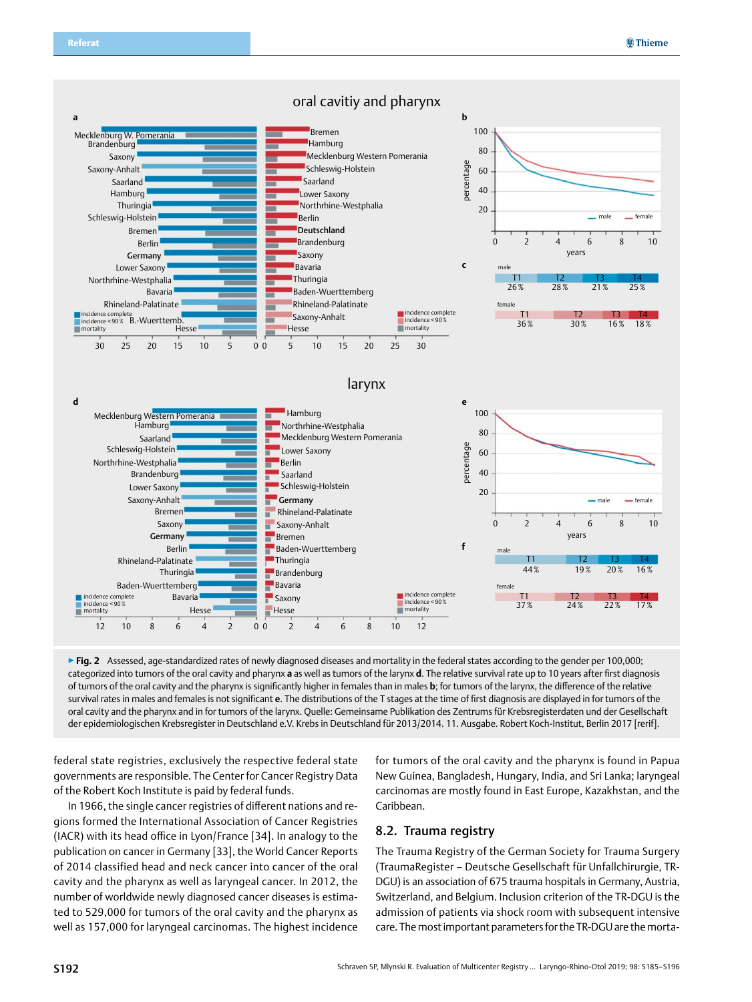<span id="page-7-0"></span>

▶ Fig. 2 Assessed, age-standardized rates of newly diagnosed diseases and mortality in the federal states according to the gender per 100,000; categorized into tumors of the oral cavity and pharynx **a** as well as tumors of the larynx **d**. The relative survival rate up to 10 years after first diagnosis of tumors of the oral cavity and the pharynx is significantly higher in females than in males **b**; for tumors of the larynx, the difference of the relative survival rates in males and females is not significant **e**. The distributions of the T stages at the time of first diagnosis are displayed in for tumors of the oral cavity and the pharynx and in for tumors of the larynx. Quelle: Gemeinsame Publikation des Zentrums für Krebsregisterdaten und der Gesellschaft der epidemiologischen Krebsregister in Deutschland e.V. Krebs in Deutschland für 2013/2014. 11. Ausgabe. Robert Koch-Institut, Berlin 2017 [rerif].

federal state registries, exclusively the respective federal state governments are responsible. The Center for Cancer Registry Data of the Robert Koch Institute is paid by federal funds.

In 1966, the single cancer registries of different nations and regions formed the International Association of Cancer Registries (IACR) with its head office in Lyon/France [34]. In analogy to the publication on cancer in Germany [33], the World Cancer Reports of 2014 classified head and neck cancer into cancer of the oral cavity and the pharynx as well as laryngeal cancer. In 2012, the number of worldwide newly diagnosed cancer diseases is estimated to 529,000 for tumors of the oral cavity and the pharynx as well as 157,000 for laryngeal carcinomas. The highest incidence

for tumors of the oral cavity and the pharynx is found in Papua New Guinea, Bangladesh, Hungary, India, and Sri Lanka; laryngeal carcinomas are mostly found in East Europe, Kazakhstan, and the Caribbean.

#### 8.2. Trauma registry

The Trauma Registry of the German Society for Trauma Surgery (TraumaRegister – Deutsche Gesellschaft für Unfallchirurgie, TR-DGU) is an association of 675 trauma hospitals in Germany, Austria, Switzerland, and Belgium. Inclusion criterion of the TR-DGU is the admission of patients via shock room with subsequent intensive care. The most important parameters for the TR-DGU are the morta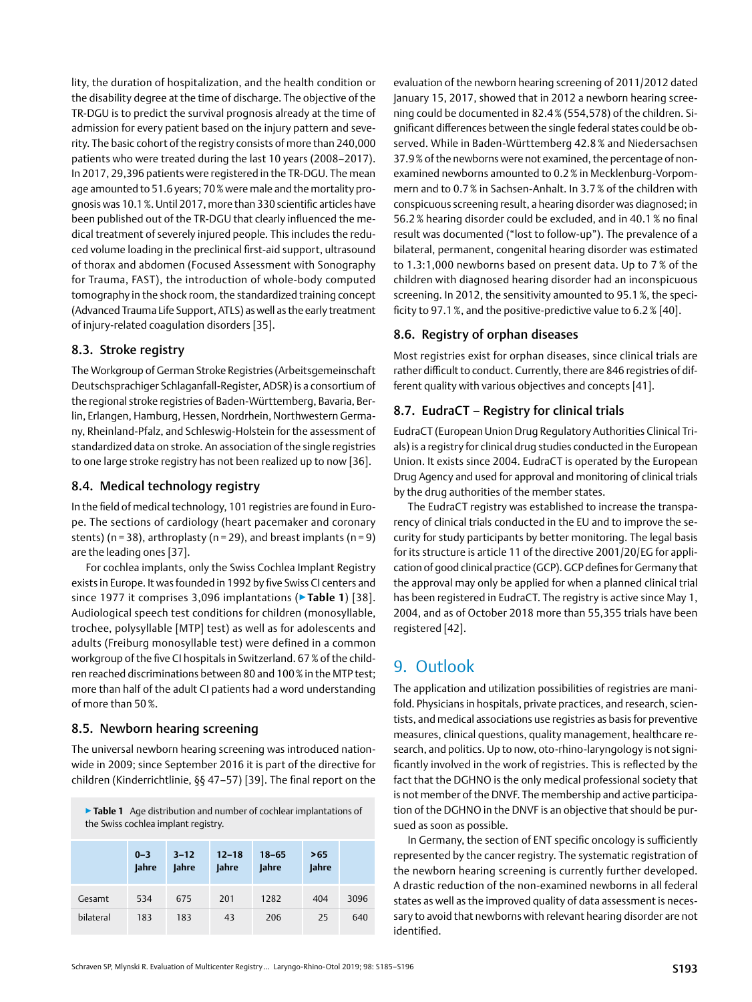<span id="page-8-0"></span>lity, the duration of hospitalization, and the health condition or the disability degree at the time of discharge. The objective of the TR-DGU is to predict the survival prognosis already at the time of admission for every patient based on the injury pattern and severity. The basic cohort of the registry consists of more than 240,000 patients who were treated during the last 10 years (2008–2017). In 2017, 29,396 patients were registered in the TR-DGU. The mean age amounted to 51.6 years; 70% were male and the mortality prognosis was 10.1%. Until 2017, more than 330 scientific articles have been published out of the TR-DGU that clearly influenced the medical treatment of severely injured people. This includes the reduced volume loading in the preclinical first-aid support, ultrasound of thorax and abdomen (Focused Assessment with Sonography for Trauma, FAST), the introduction of whole-body computed tomography in the shock room, the standardized training concept (Advanced Trauma Life Support, ATLS) as well as the early treatment of injury-related coagulation disorders [35].

#### 8.3. Stroke registry

The Workgroup of German Stroke Registries (Arbeitsgemeinschaft Deutschsprachiger Schlaganfall-Register, ADSR) is a consortium of the regional stroke registries of Baden-Württemberg, Bavaria, Berlin, Erlangen, Hamburg, Hessen, Nordrhein, Northwestern Germany, Rheinland-Pfalz, and Schleswig-Holstein for the assessment of standardized data on stroke. An association of the single registries to one large stroke registry has not been realized up to now [36].

### 8.4. Medical technology registry

In the field of medical technology, 101 registries are found in Europe. The sections of cardiology (heart pacemaker and coronary stents) ( $n = 38$ ), arthroplasty ( $n = 29$ ), and breast implants ( $n = 9$ ) are the leading ones [37].

For cochlea implants, only the Swiss Cochlea Implant Registry exists in Europe. It was founded in 1992 by five Swiss CI centers and since 1977 it comprises 3,096 implantations (▶**Table 1**) [38]. Audiological speech test conditions for children (monosyllable, trochee, polysyllable [MTP] test) as well as for adolescents and adults (Freiburg monosyllable test) were defined in a common workgroup of the five CI hospitals in Switzerland. 67% of the children reached discriminations between 80 and 100% in the MTP test; more than half of the adult CI patients had a word understanding of more than 50%.

### 8.5. Newborn hearing screening

The universal newborn hearing screening was introduced nationwide in 2009; since September 2016 it is part of the directive for children (Kinderrichtlinie, §§ 47–57) [39]. The final report on the

▶**Table 1** Age distribution and number of cochlear implantations of the Swiss cochlea implant registry.

|           | $0 - 3$<br><b>Jahre</b> | $3 - 12$<br><b>Jahre</b> | $12 - 18$<br><b>Jahre</b> | $18 - 65$<br><b>Jahre</b> | >65<br><b>Jahre</b> |      |
|-----------|-------------------------|--------------------------|---------------------------|---------------------------|---------------------|------|
| Gesamt    | 534                     | 675                      | 201                       | 1282                      | 404                 | 3096 |
| bilateral | 183                     | 183                      | 43                        | 206                       | 25                  | 640  |

evaluation of the newborn hearing screening of 2011/2012 dated January 15, 2017, showed that in 2012 a newborn hearing screening could be documented in 82.4% (554,578) of the children. Significant differences between the single federal states could be observed. While in Baden-Württemberg 42.8% and Niedersachsen 37.9% of the newborns were not examined, the percentage of nonexamined newborns amounted to 0.2% in Mecklenburg-Vorpommern and to 0.7% in Sachsen-Anhalt. In 3.7% of the children with conspicuous screening result, a hearing disorder was diagnosed; in 56.2% hearing disorder could be excluded, and in 40.1% no final result was documented ("lost to follow-up"). The prevalence of a bilateral, permanent, congenital hearing disorder was estimated to 1.3:1,000 newborns based on present data. Up to 7 % of the children with diagnosed hearing disorder had an inconspicuous screening. In 2012, the sensitivity amounted to 95.1%, the specificity to 97.1%, and the positive-predictive value to 6.2% [40].

### 8.6. Registry of orphan diseases

Most registries exist for orphan diseases, since clinical trials are rather difficult to conduct. Currently, there are 846 registries of different quality with various objectives and concepts [41].

## 8.7. EudraCT – Registry for clinical trials

EudraCT (European Union Drug Regulatory Authorities Clinical Trials) is a registry for clinical drug studies conducted in the European Union. It exists since 2004. EudraCT is operated by the European Drug Agency and used for approval and monitoring of clinical trials by the drug authorities of the member states.

The EudraCT registry was established to increase the transparency of clinical trials conducted in the EU and to improve the security for study participants by better monitoring. The legal basis for its structure is article 11 of the directive 2001/20/EG for application of good clinical practice (GCP). GCP defines for Germany that the approval may only be applied for when a planned clinical trial has been registered in EudraCT. The registry is active since May 1, 2004, and as of October 2018 more than 55,355 trials have been registered [42].

# 9. Outlook

The application and utilization possibilities of registries are manifold. Physicians in hospitals, private practices, and research, scientists, and medical associations use registries as basis for preventive measures, clinical questions, quality management, healthcare research, and politics. Up to now, oto-rhino-laryngology is not significantly involved in the work of registries. This is reflected by the fact that the DGHNO is the only medical professional society that is not member of the DNVF. The membership and active participation of the DGHNO in the DNVF is an objective that should be pursued as soon as possible.

In Germany, the section of ENT specific oncology is sufficiently represented by the cancer registry. The systematic registration of the newborn hearing screening is currently further developed. A drastic reduction of the non-examined newborns in all federal states as well as the improved quality of data assessment is necessary to avoid that newborns with relevant hearing disorder are not identified.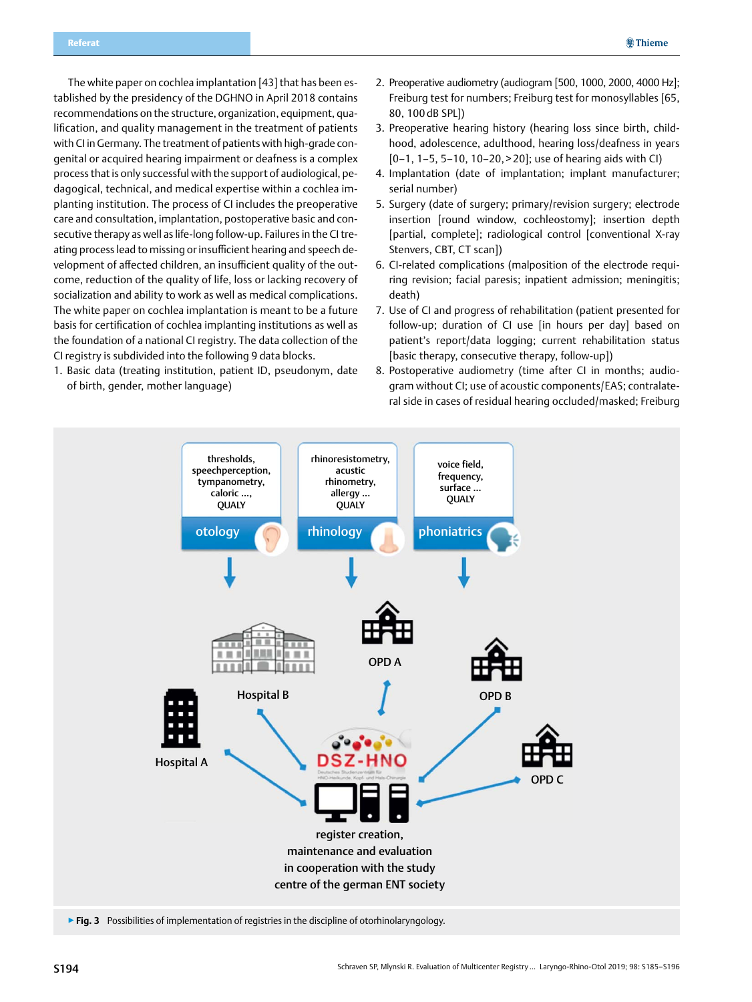The white paper on cochlea implantation [43] that has been established by the presidency of the DGHNO in April 2018 contains recommendations on the structure, organization, equipment, qualification, and quality management in the treatment of patients with CI in Germany. The treatment of patients with high-grade congenital or acquired hearing impairment or deafness is a complex process that is only successful with the support of audiological, pedagogical, technical, and medical expertise within a cochlea implanting institution. The process of CI includes the preoperative care and consultation, implantation, postoperative basic and consecutive therapy as well as life-long follow-up. Failures in the CI treating process lead to missing or insufficient hearing and speech development of affected children, an insufficient quality of the outcome, reduction of the quality of life, loss or lacking recovery of socialization and ability to work as well as medical complications. The white paper on cochlea implantation is meant to be a future basis for certification of cochlea implanting institutions as well as the foundation of a national CI registry. The data collection of the CI registry is subdivided into the following 9 data blocks.

1. Basic data (treating institution, patient ID, pseudonym, date of birth, gender, mother language)

- 2. Preoperative audiometry (audiogram [500, 1000, 2000, 4000 Hz]; Freiburg test for numbers; Freiburg test for monosyllables [65, 80, 100 dB SPL])
- 3. Preoperative hearing history (hearing loss since birth, childhood, adolescence, adulthood, hearing loss/deafness in years  $[0-1, 1-5, 5-10, 10-20, 20]$ ; use of hearing aids with CI)
- 4. Implantation (date of implantation; implant manufacturer; serial number)
- 5. Surgery (date of surgery; primary/revision surgery; electrode insertion [round window, cochleostomy]; insertion depth [partial, complete]; radiological control [conventional X-ray Stenvers, CBT, CT scan])
- 6. CI-related complications (malposition of the electrode requiring revision; facial paresis; inpatient admission; meningitis; death)
- 7. Use of CI and progress of rehabilitation (patient presented for follow-up; duration of CI use [in hours per day] based on patient's report/data logging; current rehabilitation status [basic therapy, consecutive therapy, follow-up])
- 8. Postoperative audiometry (time after CI in months; audiogram without CI; use of acoustic components/EAS; contralateral side in cases of residual hearing occluded/masked; Freiburg

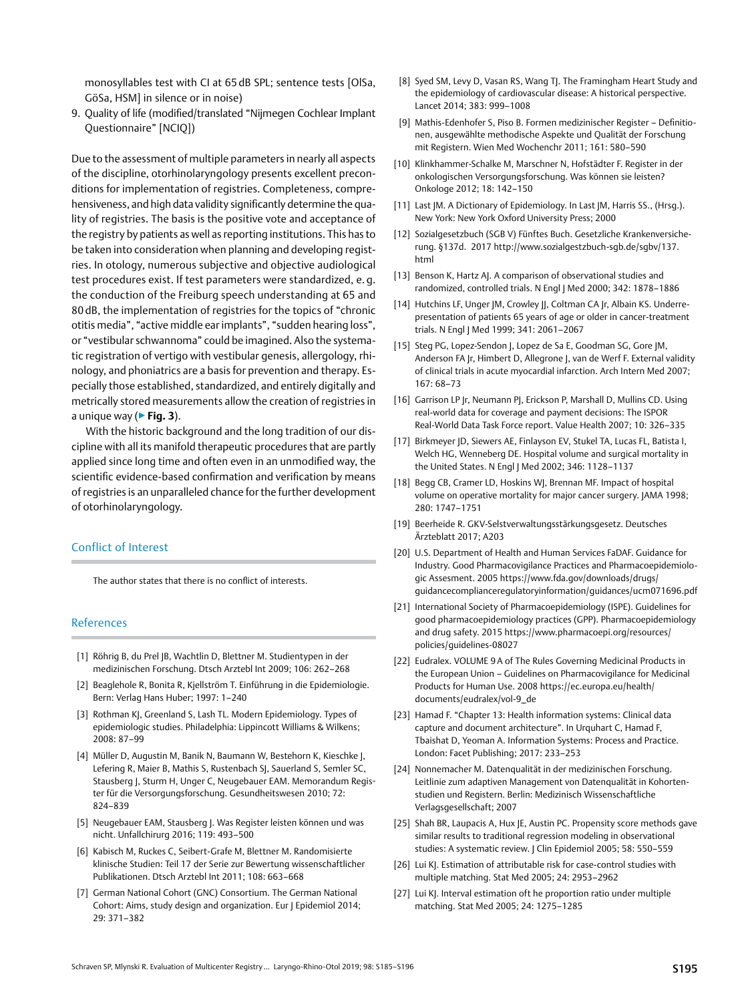monosyllables test with CI at 65 dB SPL; sentence tests [OlSa, GöSa, HSM] in silence or in noise)

9. Quality of life (modified/translated "Nijmegen Cochlear Implant Questionnaire" [NCIQ])

Due to the assessment of multiple parameters in nearly all aspects of the discipline, otorhinolaryngology presents excellent preconditions for implementation of registries. Completeness, comprehensiveness, and high data validity significantly determine the quality of registries. The basis is the positive vote and acceptance of the registry by patients as well as reporting institutions. This has to be taken into consideration when planning and developing registries. In otology, numerous subjective and objective audiological test procedures exist. If test parameters were standardized, e. g. the conduction of the Freiburg speech understanding at 65 and 80 dB, the implementation of registries for the topics of "chronic otitis media", "active middle ear implants", "sudden hearing loss", or "vestibular schwannoma" could be imagined. Also the systematic registration of vertigo with vestibular genesis, allergology, rhinology, and phoniatrics are a basis for prevention and therapy. Especially those established, standardized, and entirely digitally and metrically stored measurements allow the creation of registries in a unique way (▶**Fig. 3**).

With the historic background and the long tradition of our discipline with all its manifold therapeutic procedures that are partly applied since long time and often even in an unmodified way, the scientific evidence-based confirmation and verification by means of registries is an unparalleled chance for the further development of otorhinolaryngology.

#### Conflict of Interest

The author states that there is no conflict of interests.

#### References

- [1] Röhrig B, du Prel JB, Wachtlin D, Blettner M. Studientypen in der medizinischen Forschung. Dtsch Arztebl Int 2009; 106: 262–268
- [2] Beaglehole R, Bonita R, Kjellström T. Einführung in die Epidemiologie. Bern: Verlag Hans Huber; 1997: 1–240
- [3] Rothman KJ, Greenland S, Lash TL. Modern Epidemiology. Types of epidemiologic studies. Philadelphia: Lippincott Williams & Wilkens; 2008: 87–99
- [4] Müller D, Augustin M, Banik N, Baumann W, Bestehorn K, Kieschke J, Lefering R, Maier B, Mathis S, Rustenbach SJ, Sauerland S, Semler SC, Stausberg J, Sturm H, Unger C, Neugebauer EAM. Memorandum Register für die Versorgungsforschung. Gesundheitswesen 2010; 72: 824–839
- [5] Neugebauer EAM, Stausberg J. Was Register leisten können und was nicht. Unfallchirurg 2016; 119: 493–500
- [6] Kabisch M, Ruckes C, Seibert-Grafe M, Blettner M. Randomisierte klinische Studien: Teil 17 der Serie zur Bewertung wissenschaftlicher Publikationen. Dtsch Arztebl Int 2011; 108: 663–668
- [7] German National Cohort (GNC) Consortium. The German National Cohort: Aims, study design and organization. Eur J Epidemiol 2014; 29: 371–382
- [8] Syed SM, Levy D, Vasan RS, Wang TJ. The Framingham Heart Study and the epidemiology of cardiovascular disease: a historical perspective. Lancet 2014; 383: 999–1008
- [9] Mathis-Edenhofer S, Piso B. Formen medizinischer Register Definitionen, ausgewählte methodische Aspekte und Qualität der Forschung mit Registern. Wien Med Wochenchr 2011; 161: 580–590
- [10] Klinkhammer-Schalke M, Marschner N, Hofstädter F. Register in der onkologischen Versorgungsforschung. Was können sie leisten? Onkologe 2012; 18: 142–150
- [11] Last JM. A Dictionary of Epidemiology. In Last JM, Harris SS., (Hrsg.). New York: New York Oxford University Press; 2000
- [12] Sozialgesetzbuch (SGB V) Fünftes Buch. Gesetzliche Krankenversicherung. §137d. 2017 [http://www.sozialgestzbuch-sgb.de/sgbv/137.](http://www.sozialgestzbuch-sgb.de/sgbv/137.html) [html](http://www.sozialgestzbuch-sgb.de/sgbv/137.html)
- [13] Benson K, Hartz AJ. A comparison of observational studies and randomized, controlled trials. N Engl J Med 2000; 342: 1878–1886
- [14] Hutchins LF, Unger JM, Crowley JJ, Coltman CA Jr, Albain KS. Underrepresentation of patients 65 years of age or older in cancer-treatment trials. N Engl | Med 1999; 341: 2061-2067
- [15] Steg PG, Lopez-Sendon J, Lopez de Sa E, Goodman SG, Gore JM, Anderson FA Jr, Himbert D, Allegrone J, van de Werf F. External validity of clinical trials in acute myocardial infarction. Arch Intern Med 2007; 167: 68–73
- [16] Garrison LP Jr, Neumann PJ, Erickson P, Marshall D, Mullins CD. Using real-world data for coverage and payment decisions: the ISPOR Real-World Data Task Force report. Value Health 2007; 10: 326–335
- [17] Birkmeyer JD, Siewers AE, Finlayson EV, Stukel TA, Lucas FL, Batista I, Welch HG, Wenneberg DE. Hospital volume and surgical mortality in the United States. N Engl J Med 2002; 346: 1128–1137
- [18] Begg CB, Cramer LD, Hoskins WJ, Brennan MF. Impact of hospital volume on operative mortality for major cancer surgery. JAMA 1998; 280: 1747–1751
- [19] Beerheide R. GKV-Selstverwaltungsstärkungsgesetz. Deutsches Ärzteblatt 2017; A203
- [20] U.S. Department of Health and Human Services FaDAF. Guidance for Industry. Good Pharmacovigilance Practices and Pharmacoepidemiologic Assesment. 2005 [https://www.fda.gov/downloads/drugs/](http://https://www.fda.gov/downloads/drugs/guidancecomplianceregulatoryinformation/guidances/ucm071696.pdf) [guidancecomplianceregulatoryinformation/guidances/ucm071696.pdf](http://https://www.fda.gov/downloads/drugs/guidancecomplianceregulatoryinformation/guidances/ucm071696.pdf)
- [21] International Society of Pharmacoepidemiology (ISPE). Guidelines for good pharmacoepidemiology practices (GPP). Pharmacoepidemiology and drug safety. 2015 [https://www.pharmacoepi.org/resources/](http://https://www.pharmacoepi.org/resources/policies/guidelines-08027) [policies/guidelines-08027](http://https://www.pharmacoepi.org/resources/policies/guidelines-08027)
- [22] Eudralex. VOLUME 9A of The Rules Governing Medicinal Products in the European Union – Guidelines on Pharmacovigilance for Medicinal Products for Human Use. 2008 [https://ec.europa.eu/health/](http://https://ec.europa.eu/health/documents/eudralex/vol-9_de) [documents/eudralex/vol-9\\_de](http://https://ec.europa.eu/health/documents/eudralex/vol-9_de)
- [23] Hamad F. "Chapter 13: Health information systems: Clinical data capture and document architecture". In Urquhart C, Hamad F, Tbaishat D, Yeoman A. Information Systems: Process and Practice. London: Facet Publishing; 2017: 233–253
- [24] Nonnemacher M. Datenqualität in der medizinischen Forschung. Leitlinie zum adaptiven Management von Datenqualität in Kohortenstudien und Registern. Berlin: Medizinisch Wissenschaftliche Verlagsgesellschaft; 2007
- [25] Shah BR, Laupacis A, Hux JE, Austin PC. Propensity score methods gave similar results to traditional regression modeling in observational studies: a systematic review. J Clin Epidemiol 2005; 58: 550–559
- [26] Lui KJ. Estimation of attributable risk for case-control studies with multiple matching. Stat Med 2005; 24: 2953–2962
- [27] Lui KJ. Interval estimation oft he proportion ratio under multiple matching. Stat Med 2005; 24: 1275–1285